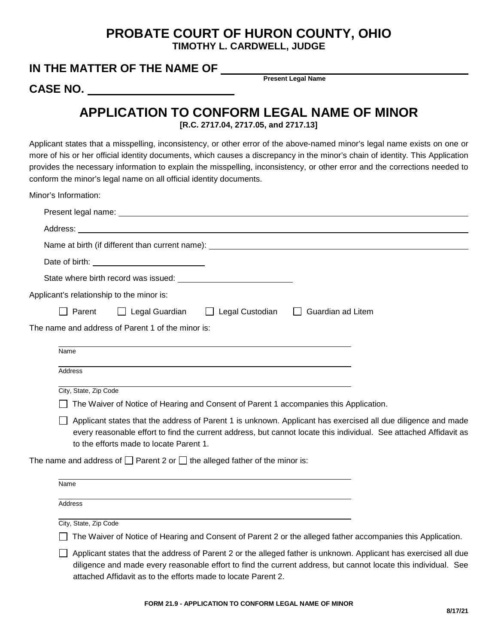## **PROBATE COURT OF HURON COUNTY, OHIO TIMOTHY L. CARDWELL, JUDGE**

## **IN THE MATTER OF THE NAME OF**

**CASE NO.** 

**Present Legal Name**

## **APPLICATION TO CONFORM LEGAL NAME OF MINOR**

**[R.C. 2717.04, 2717.05, and 2717.13]**

Applicant states that a misspelling, inconsistency, or other error of the above-named minor's legal name exists on one or more of his or her official identity documents, which causes a discrepancy in the minor's chain of identity. This Application provides the necessary information to explain the misspelling, inconsistency, or other error and the corrections needed to conform the minor's legal name on all official identity documents.

Minor's Information:

| Date of birth: <u>contract and contract and contract and contract and contract and contract and contract and contract and contract and contract and contract and contract and contract and contract and contract and contract an</u>                                                               |
|----------------------------------------------------------------------------------------------------------------------------------------------------------------------------------------------------------------------------------------------------------------------------------------------------|
|                                                                                                                                                                                                                                                                                                    |
| Applicant's relationship to the minor is:                                                                                                                                                                                                                                                          |
| □ Legal Guardian □ Legal Custodian □ Guardian ad Litem<br>$\Box$ Parent                                                                                                                                                                                                                            |
| The name and address of Parent 1 of the minor is:                                                                                                                                                                                                                                                  |
|                                                                                                                                                                                                                                                                                                    |
| Name                                                                                                                                                                                                                                                                                               |
| <b>Address</b>                                                                                                                                                                                                                                                                                     |
| City, State, Zip Code                                                                                                                                                                                                                                                                              |
| The Waiver of Notice of Hearing and Consent of Parent 1 accompanies this Application.                                                                                                                                                                                                              |
| Applicant states that the address of Parent 1 is unknown. Applicant has exercised all due diligence and made<br>every reasonable effort to find the current address, but cannot locate this individual. See attached Affidavit as<br>to the efforts made to locate Parent 1.                       |
| The name and address of $\square$ Parent 2 or $\square$ the alleged father of the minor is:                                                                                                                                                                                                        |
| Name                                                                                                                                                                                                                                                                                               |
| <b>Address</b>                                                                                                                                                                                                                                                                                     |
| City, State, Zip Code                                                                                                                                                                                                                                                                              |
| The Waiver of Notice of Hearing and Consent of Parent 2 or the alleged father accompanies this Application.                                                                                                                                                                                        |
| Applicant states that the address of Parent 2 or the alleged father is unknown. Applicant has exercised all due<br>diligence and made every reasonable effort to find the current address, but cannot locate this individual. See<br>attached Affidavit as to the efforts made to locate Parent 2. |